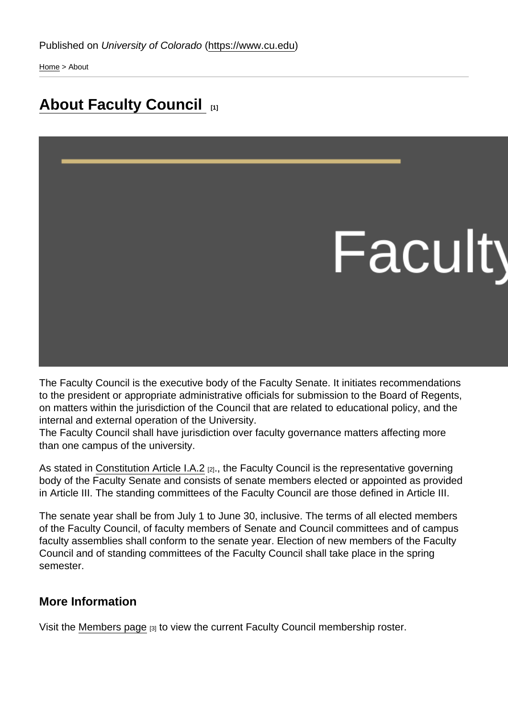[Home](https://www.cu.edu/) > About

## [About Faculty Council](https://www.cu.edu/faculty/faculty-council/about-faculty-council) [1]

The Faculty Council is the executive body of the Faculty Senate. It initiates recommendations to the president or appropriate administrative officials for submission to the Board of Regents, on matters within the jurisdiction of the Council that are related to educational policy, and the internal and external operation of the University.

The Faculty Council shall have jurisdiction over faculty governance matters affecting more than one campus of the university.

As stated in [Constitution Article I.A.2](https://www.cu.edu/faculty/constitution-bylaws/constitution/article-i-definitions-and-principles) [2]., the Faculty Council is the representative governing body of the Faculty Senate and consists of senate members elected or appointed as provided in Article III. The standing committees of the Faculty Council are those defined in Article III.

The senate year shall be from July 1 to June 30, inclusive. The terms of all elected members of the Faculty Council, of faculty members of Senate and Council committees and of campus faculty assemblies shall conform to the senate year. Election of new members of the Faculty Council and of standing committees of the Faculty Council shall take place in the spring semester.

## More Information

Visit the [Members page](https://www.cu.edu/faculty/faculty-council/faculty-council-members) [3] to view the current Faculty Council membership roster.